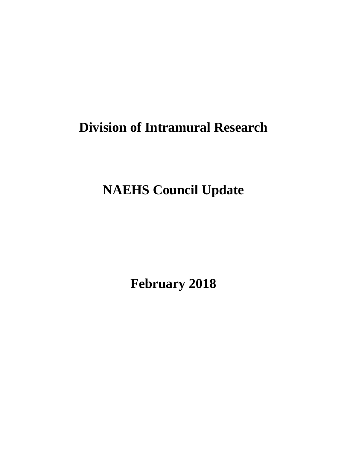# **Division of Intramural Research**

**NAEHS Council Update** 

**February 2018**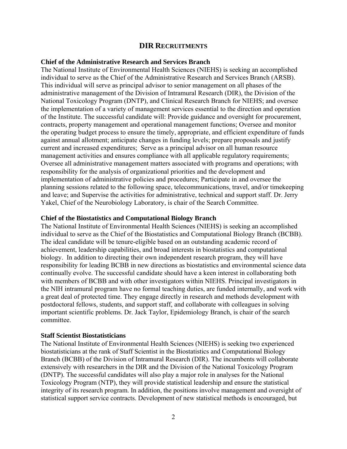# **DIR RECRUITMENTS**

#### **Chief of the Administrative Research and Services Branch**

The National Institute of Environmental Health Sciences (NIEHS) is seeking an accomplished individual to serve as the Chief of the Administrative Research and Services Branch (ARSB). This individual will serve as principal advisor to senior management on all phases of the administrative management of the Division of Intramural Research (DIR), the Division of the National Toxicology Program (DNTP), and Clinical Research Branch for NIEHS; and oversee the implementation of a variety of management services essential to the direction and operation of the Institute. The successful candidate will: Provide guidance and oversight for procurement, contracts, property management and operational management functions; Oversee and monitor the operating budget process to ensure the timely, appropriate, and efficient expenditure of funds against annual allotment; anticipate changes in funding levels; prepare proposals and justify current and increased expenditures; Serve as a principal advisor on all human resource management activities and ensures compliance with all applicable regulatory requirements; Oversee all administrative management matters associated with programs and operations; with responsibility for the analysis of organizational priorities and the development and implementation of administrative policies and procedures; Participate in and oversee the planning sessions related to the following space, telecommunications, travel, and/or timekeeping and leave; and Supervise the activities for administrative, technical and support staff. Dr. Jerry Yakel, Chief of the Neurobiology Laboratory, is chair of the Search Committee.

#### **Chief of the Biostatistics and Computational Biology Branch**

The National Institute of Environmental Health Sciences (NIEHS) is seeking an accomplished individual to serve as the Chief of the Biostatistics and Computational Biology Branch (BCBB). The ideal candidate will be tenure-eligible based on an outstanding academic record of achievement, leadership capabilities, and broad interests in biostatistics and computational biology. In addition to directing their own independent research program, they will have responsibility for leading BCBB in new directions as biostatistics and environmental science data continually evolve. The successful candidate should have a keen interest in collaborating both with members of BCBB and with other investigators within NIEHS. Principal investigators in the NIH intramural program have no formal teaching duties, are funded internally, and work with a great deal of protected time. They engage directly in research and methods development with postdoctoral fellows, students, and support staff, and collaborate with colleagues in solving important scientific problems. Dr. Jack Taylor, Epidemiology Branch, is chair of the search committee.

#### **Staff Scientist Biostatisticians**

The National Institute of Environmental Health Sciences (NIEHS) is seeking two experienced biostatisticians at the rank of Staff Scientist in the Biostatistics and Computational Biology Branch (BCBB) of the Division of Intramural Research (DIR). The incumbents will collaborate extensively with researchers in the DIR and the Division of the National Toxicology Program (DNTP). The successful candidates will also play a major role in analyses for the National Toxicology Program (NTP), they will provide statistical leadership and ensure the statistical integrity of its research program. In addition, the positions involve management and oversight of statistical support service contracts. Development of new statistical methods is encouraged, but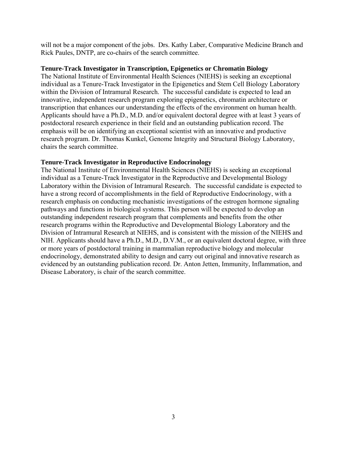will not be a major component of the jobs. Drs. Kathy Laber, Comparative Medicine Branch and Rick Paules, DNTP, are co-chairs of the search committee.

# **Tenure-Track Investigator in Transcription, Epigenetics or Chromatin Biology**

The National Institute of Environmental Health Sciences (NIEHS) is seeking an exceptional individual as a Tenure-Track Investigator in the Epigenetics and Stem Cell Biology Laboratory within the Division of Intramural Research. The successful candidate is expected to lead an innovative, independent research program exploring epigenetics, chromatin architecture or transcription that enhances our understanding the effects of the environment on human health. Applicants should have a Ph.D., M.D. and/or equivalent doctoral degree with at least 3 years of postdoctoral research experience in their field and an outstanding publication record. The emphasis will be on identifying an exceptional scientist with an innovative and productive research program. Dr. Thomas Kunkel, Genome Integrity and Structural Biology Laboratory, chairs the search committee.

# **Tenure-Track Investigator in Reproductive Endocrinology**

The National Institute of Environmental Health Sciences (NIEHS) is seeking an exceptional individual as a Tenure-Track Investigator in the Reproductive and Developmental Biology Laboratory within the Division of Intramural Research. The successful candidate is expected to have a strong record of accomplishments in the field of Reproductive Endocrinology, with a research emphasis on conducting mechanistic investigations of the estrogen hormone signaling pathways and functions in biological systems. This person will be expected to develop an outstanding independent research program that complements and benefits from the other research programs within the Reproductive and Developmental Biology Laboratory and the Division of Intramural Research at NIEHS, and is consistent with the mission of the NIEHS and NIH. Applicants should have a Ph.D., M.D., D.V.M., or an equivalent doctoral degree, with three or more years of postdoctoral training in mammalian reproductive biology and molecular endocrinology, demonstrated ability to design and carry out original and innovative research as evidenced by an outstanding publication record. Dr. Anton Jetten, Immunity, Inflammation, and Disease Laboratory, is chair of the search committee.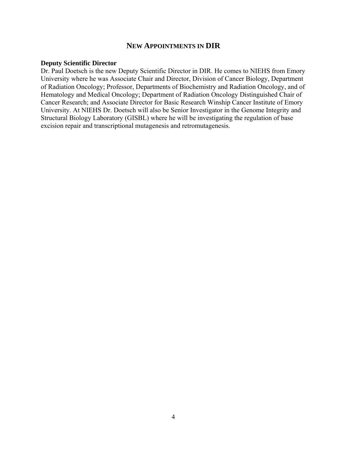# **NEW APPOINTMENTS IN DIR**

#### **Deputy Scientific Director**

Dr. Paul Doetsch is the new Deputy Scientific Director in DIR. He comes to NIEHS from Emory University where he was Associate Chair and Director, Division of Cancer Biology, Department of Radiation Oncology; Professor, Departments of Biochemistry and Radiation Oncology, and of Hematology and Medical Oncology; Department of Radiation Oncology Distinguished Chair of Cancer Research; and Associate Director for Basic Research Winship Cancer Institute of Emory University. At NIEHS Dr. Doetsch will also be Senior Investigator in the Genome Integrity and Structural Biology Laboratory (GISBL) where he will be investigating the regulation of base excision repair and transcriptional mutagenesis and retromutagenesis.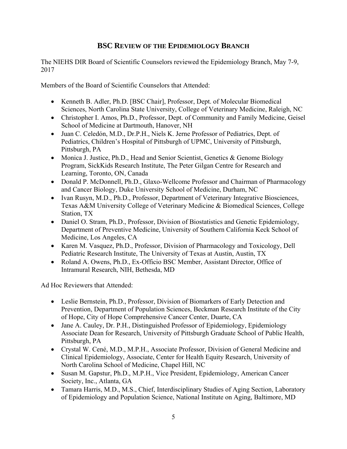# **BSC REVIEW OF THE EPIDEMIOLOGY BRANCH**

The NIEHS DIR Board of Scientific Counselors reviewed the Epidemiology Branch, May 7-9, 2017

Members of the Board of Scientific Counselors that Attended:

- Kenneth B. Adler, Ph.D. [BSC Chair], Professor, Dept. of Molecular Biomedical Sciences, North Carolina State University, College of Veterinary Medicine, Raleigh, NC
- Christopher I. Amos, Ph.D., Professor, Dept. of Community and Family Medicine, Geisel School of Medicine at Dartmouth, Hanover, NH
- Juan C. Celedón, M.D., Dr.P.H., Niels K. Jerne Professor of Pediatrics, Dept. of Pediatrics, Children's Hospital of Pittsburgh of UPMC, University of Pittsburgh, Pittsburgh, PA
- Monica J. Justice, Ph.D., Head and Senior Scientist, Genetics & Genome Biology Program, SickKids Research Institute, The Peter Gilgan Centre for Research and Learning, Toronto, ON, Canada
- Donald P. McDonnell, Ph.D., Glaxo-Wellcome Professor and Chairman of Pharmacology and Cancer Biology, Duke University School of Medicine, Durham, NC
- Ivan Rusyn, M.D., Ph.D., Professor, Department of Veterinary Integrative Biosciences, Texas A&M University College of Veterinary Medicine & Biomedical Sciences, College Station, TX
- Daniel O. Stram, Ph.D., Professor, Division of Biostatistics and Genetic Epidemiology, Department of Preventive Medicine, University of Southern California Keck School of Medicine, Los Angeles, CA
- Karen M. Vasquez, Ph.D., Professor, Division of Pharmacology and Toxicology, Dell Pediatric Research Institute, The University of Texas at Austin, Austin, TX
- Roland A. Owens, Ph.D., Ex-Officio BSC Member, Assistant Director, Office of Intramural Research, NIH, Bethesda, MD

Ad Hoc Reviewers that Attended:

- Leslie Bernstein, Ph.D., Professor, Division of Biomarkers of Early Detection and Prevention, Department of Population Sciences, Beckman Research Institute of the City of Hope, City of Hope Comprehensive Cancer Center, Duarte, CA
- Jane A. Cauley, Dr. P.H., Distinguished Professor of Epidemiology, Epidemiology Associate Dean for Research, University of Pittsburgh Graduate School of Public Health, Pittsburgh, PA
- Crystal W. Cené, M.D., M.P.H., Associate Professor, Division of General Medicine and Clinical Epidemiology, Associate, Center for Health Equity Research, University of North Carolina School of Medicine, Chapel Hill, NC
- Susan M. Gapstur, Ph.D., M.P.H., Vice President, Epidemiology, American Cancer Society, Inc., Atlanta, GA
- Tamara Harris, M.D., M.S., Chief, Interdisciplinary Studies of Aging Section, Laboratory of Epidemiology and Population Science, National Institute on Aging, Baltimore, MD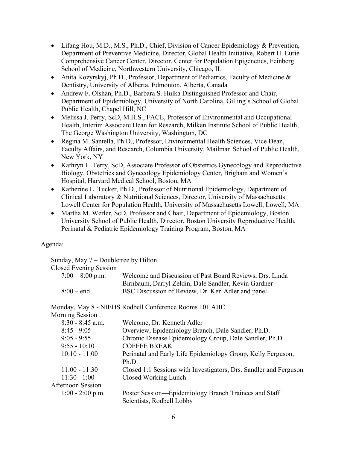- $\bullet$  Lifang Hou, M.D., M.S., Ph.D., Chief, Division of Cancer Epidemiology & Prevention, Department of Preventive Medicine, Director, Global Health Initiative, Robert H. Lurie Comprehensive Cancer Center, Director, Center for Population Epigenetics, Feinberg School of Medicine, Northwestern University, Chicago, IL
- Anita Kozyrskyj, Ph.D., Professor, Department of Pediatrics, Faculty of Medicine & Dentistry, University of Alberta, Edmonton, Alberta, Canada
- Andrew F. Olshan, Ph.D., Barbara S. Hulka Distinguished Professor and Chair, Department of Epidemiology, University of North Carolina, Gilling's School of Global Public Health, Chapel Hill, NC
- Melissa J. Perry, ScD, M.H.S., FACE, Professor of Environmental and Occupational Health, Interim Associate Dean for Research, Milken Institute School of Public Health, The George Washington University, Washington, DC
- Regina M. Santella, Ph.D., Professor, Environmental Health Sciences, Vice Dean, Faculty Affairs, and Research, Columbia University, Mailman School of Public Health, New York, NY
- Kathryn L. Terry, ScD, Associate Professor of Obstetrics Gynecology and Reproductive Biology, Obstetrics and Gynecology Epidemiology Center, Brigham and Women's Hospital, Harvard Medical School, Boston, MA
- Katherine L. Tucker, Ph.D., Professor of Nutritional Epidemiology, Department of Clinical Laboratory & Nutritional Sciences, Director, University of Massachusetts Lowell Center for Population Health, University of Massachusetts Lowell, Lowell, MA
- Martha M. Werler, ScD, Professor and Chair, Department of Epidemiology, Boston University School of Public Health, Director, Boston University Reproductive Health, Perinatal & Pediatric Epidemiology Training Program, Boston, MA

# Agenda:

| Sunday, May 7 – Doubletree by Hilton |                                                          |
|--------------------------------------|----------------------------------------------------------|
| <b>Closed Evening Session</b>        |                                                          |
| $7:00 - 8:00$ p.m.                   | Welcome and Discussion of Past Board Reviews, Drs. Linda |
|                                      | Birnbaum, Darryl Zeldin, Dale Sandler, Kevin Gardner     |
| $8:00 - end$                         | BSC Discussion of Review, Dr. Ken Adler and panel        |
|                                      |                                                          |

Monday, May 8 - NIEHS Rodbell Conference Rooms 101 ABC

# Morning Session

| $8:30 - 8:45$ a.m.       | Welcome, Dr. Kenneth Adler                                        |
|--------------------------|-------------------------------------------------------------------|
| $8:45 - 9:05$            | Overview, Epidemiology Branch, Dale Sandler, Ph.D.                |
| $9:05 - 9:55$            | Chronic Disease Epidemiology Group, Dale Sandler, Ph.D.           |
| $9:55 - 10:10$           | <b>COFFEE BREAK</b>                                               |
| $10:10 - 11:00$          | Perinatal and Early Life Epidemiology Group, Kelly Ferguson,      |
|                          | Ph.D.                                                             |
| $11:00 - 11:30$          | Closed 1:1 Sessions with Investigators, Drs. Sandler and Ferguson |
| $11:30 - 1:00$           | Closed Working Lunch                                              |
| <b>Afternoon Session</b> |                                                                   |
| $1:00 - 2:00$ p.m.       | Poster Session—Epidemiology Branch Trainees and Staff             |
|                          | Scientists, Rodbell Lobby                                         |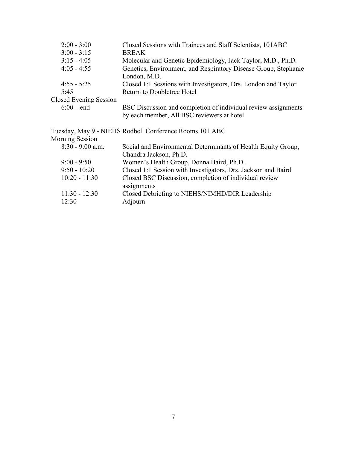| $2:00 - 3:00$          | Closed Sessions with Trainees and Staff Scientists, 101ABC                      |
|------------------------|---------------------------------------------------------------------------------|
| $3:00 - 3:15$          | <b>BREAK</b>                                                                    |
| $3:15 - 4:05$          | Molecular and Genetic Epidemiology, Jack Taylor, M.D., Ph.D.                    |
| $4:05 - 4:55$          | Genetics, Environment, and Respiratory Disease Group, Stephanie<br>London, M.D. |
| $4:55 - 5:25$          | Closed 1:1 Sessions with Investigators, Drs. London and Taylor                  |
| 5:45                   | Return to Doubletree Hotel                                                      |
| Closed Evening Session |                                                                                 |
| $6:00 - end$           | BSC Discussion and completion of individual review assignments                  |
|                        | by each member, All BSC reviewers at hotel                                      |
|                        | Tuesday, May 9 - NIEHS Rodbell Conference Rooms 101 ABC                         |
| Morning Session        |                                                                                 |
| $8:30 - 9:00$ a.m.     | Social and Environmental Determinants of Health Equity Group,                   |
|                        | Chandra Jackson, Ph.D.                                                          |
| $9:00 - 9:50$          | Women's Health Group, Donna Baird, Ph.D.                                        |
| $9:50 - 10:20$         | Closed 1:1 Session with Investigators, Drs. Jackson and Baird                   |
| $10:20 - 11:30$        | Closed BSC Discussion, completion of individual review                          |
|                        | assignments                                                                     |
| $11:30 - 12:30$        | Closed Debriefing to NIEHS/NIMHD/DIR Leadership                                 |
| 12:30                  | Adjourn                                                                         |
|                        |                                                                                 |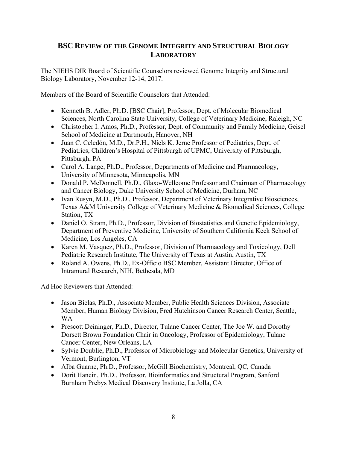# **BSC REVIEW OF THE GENOME INTEGRITY AND STRUCTURAL BIOLOGY LABORATORY**

The NIEHS DIR Board of Scientific Counselors reviewed Genome Integrity and Structural Biology Laboratory, November 12-14, 2017.

Members of the Board of Scientific Counselors that Attended:

- Kenneth B. Adler, Ph.D. [BSC Chair], Professor, Dept. of Molecular Biomedical Sciences, North Carolina State University, College of Veterinary Medicine, Raleigh, NC
- Christopher I. Amos, Ph.D., Professor, Dept. of Community and Family Medicine, Geisel School of Medicine at Dartmouth, Hanover, NH
- Juan C. Celedón, M.D., Dr.P.H., Niels K. Jerne Professor of Pediatrics, Dept. of Pediatrics, Children's Hospital of Pittsburgh of UPMC, University of Pittsburgh, Pittsburgh, PA
- Carol A. Lange, Ph.D., Professor, Departments of Medicine and Pharmacology, University of Minnesota, Minneapolis, MN
- Donald P. McDonnell, Ph.D., Glaxo-Wellcome Professor and Chairman of Pharmacology and Cancer Biology, Duke University School of Medicine, Durham, NC
- Ivan Rusyn, M.D., Ph.D., Professor, Department of Veterinary Integrative Biosciences, Texas A&M University College of Veterinary Medicine & Biomedical Sciences, College Station, TX
- Daniel O. Stram, Ph.D., Professor, Division of Biostatistics and Genetic Epidemiology, Department of Preventive Medicine, University of Southern California Keck School of Medicine, Los Angeles, CA
- Karen M. Vasquez, Ph.D., Professor, Division of Pharmacology and Toxicology, Dell Pediatric Research Institute, The University of Texas at Austin, Austin, TX
- Roland A. Owens, Ph.D., Ex-Officio BSC Member, Assistant Director, Office of Intramural Research, NIH, Bethesda, MD

Ad Hoc Reviewers that Attended:

- Jason Bielas, Ph.D., Associate Member, Public Health Sciences Division, Associate Member, Human Biology Division, Fred Hutchinson Cancer Research Center, Seattle, WA
- Prescott Deininger, Ph.D., Director, Tulane Cancer Center, The Joe W. and Dorothy Dorsett Brown Foundation Chair in Oncology, Professor of Epidemiology, Tulane Cancer Center, New Orleans, LA
- Sylvie Doublie, Ph.D., Professor of Microbiology and Molecular Genetics, University of Vermont, Burlington, VT
- AIba Guarne, Ph.D., Professor, McGill Biochemistry, Montreal, QC, Canada
- Dorit Hanein, Ph.D., Professor, Bioinformatics and Structural Program, Sanford Burnham Prebys Medical Discovery Institute, La Jolla, CA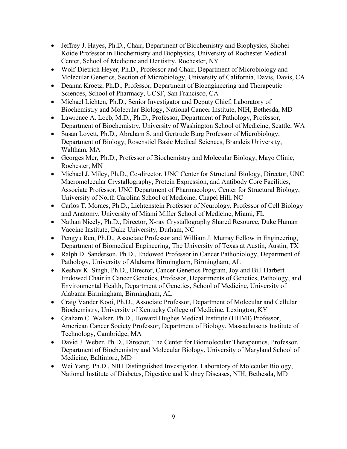- Jeffrey J. Hayes, Ph.D., Chair, Department of Biochemistry and Biophysics, Shohei Koide Professor in Biochemistry and Biophysics, University of Rochester Medical Center, School of Medicine and Dentistry, Rochester, NY
- Wolf-Dietrich Heyer, Ph.D., Professor and Chair, Department of Microbiology and Molecular Genetics, Section of Microbiology, University of California, Davis, Davis, CA
- Deanna Kroetz, Ph.D., Professor, Department of Bioengineering and Therapeutic Sciences, School of Pharmacy, UCSF, San Francisco, CA
- Michael Lichten, Ph.D., Senior Investigator and Deputy Chief, Laboratory of Biochemistry and Molecular Biology, National Cancer Institute, NIH, Bethesda, MD
- Lawrence A. Loeb, M.D., Ph.D., Professor, Department of Pathology, Professor, Department of Biochemistry, University of Washington School of Medicine, Seattle, WA
- Susan Lovett, Ph.D., Abraham S. and Gertrude Burg Professor of Microbiology, Department of Biology, Rosenstiel Basic Medical Sciences, Brandeis University, Waltham, MA
- Georges Mer, Ph.D., Professor of Biochemistry and Molecular Biology, Mayo Clinic, Rochester, MN
- Michael J. Miley, Ph.D., Co-director, UNC Center for Structural Biology, Director, UNC Macromolecular Crystallography, Protein Expression, and Antibody Core Facilities, Associate Professor, UNC Department of Pharmacology, Center for Structural Biology, University of North Carolina School of Medicine, Chapel Hill, NC
- Carlos T. Moraes, Ph.D., Lichtenstein Professor of Neurology, Professor of Cell Biology and Anatomy, University of Miami Miller School of Medicine, Miami, FL
- Nathan Nicely, Ph.D., Director, X-ray Crystallography Shared Resource, Duke Human Vaccine Institute, Duke University, Durham, NC
- Pengyu Ren, Ph.D., Associate Professor and William J. Murray Fellow in Engineering, Department of Biomedical Engineering, The University of Texas at Austin, Austin, TX
- Ralph D. Sanderson, Ph.D., Endowed Professor in Cancer Pathobiology, Department of Pathology, University of Alabama Birmingham, Birmingham, AL
- Keshav K. Singh, Ph.D., Director, Cancer Genetics Program, Joy and Bill Harbert Endowed Chair in Cancer Genetics, Professor, Departments of Genetics, Pathology, and Environmental Health, Department of Genetics, School of Medicine, University of Alabama Birmingham, Birmingham, AL
- Craig Vander Kooi, Ph.D., Associate Professor, Department of Molecular and Cellular Biochemistry, University of Kentucky College of Medicine, Lexington, KY
- Graham C. Walker, Ph.D., Howard Hughes Medical Institute (HHMI) Professor, American Cancer Society Professor, Department of Biology, Massachusetts Institute of Technology, Cambridge, MA
- David J. Weber, Ph.D., Director, The Center for Biomolecular Therapeutics, Professor, Department of Biochemistry and Molecular Biology, University of Maryland School of Medicine, Baltimore, MD
- Wei Yang, Ph.D., NIH Distinguished Investigator, Laboratory of Molecular Biology, National Institute of Diabetes, Digestive and Kidney Diseases, NIH, Bethesda, MD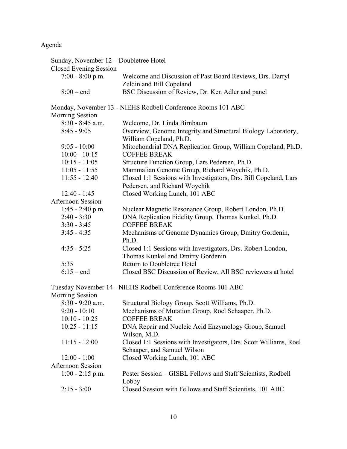# Agenda

| Sunday, November 12 – Doubletree Hotel                                                           |
|--------------------------------------------------------------------------------------------------|
|                                                                                                  |
| Welcome and Discussion of Past Board Reviews, Drs. Darryl                                        |
| Zeldin and Bill Copeland                                                                         |
| BSC Discussion of Review, Dr. Ken Adler and panel                                                |
| Monday, November 13 - NIEHS Rodbell Conference Rooms 101 ABC                                     |
|                                                                                                  |
| Welcome, Dr. Linda Birnbaum                                                                      |
| Overview, Genome Integrity and Structural Biology Laboratory,<br>William Copeland, Ph.D.         |
| Mitochondrial DNA Replication Group, William Copeland, Ph.D.                                     |
| <b>COFFEE BREAK</b>                                                                              |
| Structure Function Group, Lars Pedersen, Ph.D.                                                   |
| Mammalian Genome Group, Richard Woychik, Ph.D.                                                   |
| Closed 1:1 Sessions with Investigators, Drs. Bill Copeland, Lars                                 |
| Pedersen, and Richard Woychik                                                                    |
| Closed Working Lunch, 101 ABC                                                                    |
|                                                                                                  |
| Nuclear Magnetic Resonance Group, Robert London, Ph.D.                                           |
| DNA Replication Fidelity Group, Thomas Kunkel, Ph.D.                                             |
| <b>COFFEE BREAK</b>                                                                              |
| Mechanisms of Genome Dynamics Group, Dmitry Gordenin,<br>Ph.D.                                   |
| Closed 1:1 Sessions with Investigators, Drs. Robert London,<br>Thomas Kunkel and Dmitry Gordenin |
| Return to Doubletree Hotel                                                                       |
| Closed BSC Discussion of Review, All BSC reviewers at hotel                                      |
|                                                                                                  |

Tuesday November 14 - NIEHS Rodbell Conference Rooms 101 ABC

| <b>Morning Session</b> |                                                                   |
|------------------------|-------------------------------------------------------------------|
| $8:30 - 9:20$ a.m.     | Structural Biology Group, Scott Williams, Ph.D.                   |
| $9:20 - 10:10$         | Mechanisms of Mutation Group, Roel Schaaper, Ph.D.                |
| $10:10 - 10:25$        | <b>COFFEE BREAK</b>                                               |
| $10:25 - 11:15$        | DNA Repair and Nucleic Acid Enzymology Group, Samuel              |
|                        | Wilson, M.D.                                                      |
| $11:15 - 12:00$        | Closed 1:1 Sessions with Investigators, Drs. Scott Williams, Roel |
|                        | Schaaper, and Samuel Wilson                                       |
| $12:00 - 1:00$         | Closed Working Lunch, 101 ABC                                     |
| Afternoon Session      |                                                                   |
| $1:00 - 2:15$ p.m.     | Poster Session – GISBL Fellows and Staff Scientists, Rodbell      |
|                        | Lobby                                                             |
| $2:15 - 3:00$          | Closed Session with Fellows and Staff Scientists, 101 ABC         |
|                        |                                                                   |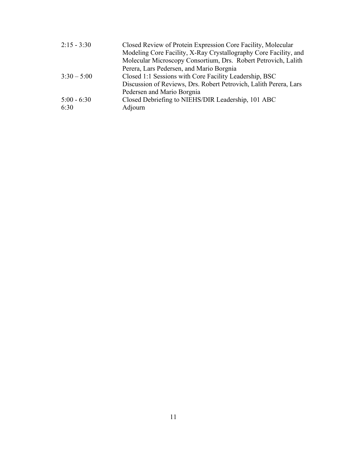| $2:15 - 3:30$ | Closed Review of Protein Expression Core Facility, Molecular      |
|---------------|-------------------------------------------------------------------|
|               | Modeling Core Facility, X-Ray Crystallography Core Facility, and  |
|               | Molecular Microscopy Consortium, Drs. Robert Petrovich, Lalith    |
|               | Perera, Lars Pedersen, and Mario Borgnia                          |
| $3:30 - 5:00$ | Closed 1:1 Sessions with Core Facility Leadership, BSC            |
|               | Discussion of Reviews, Drs. Robert Petrovich, Lalith Perera, Lars |
|               | Pedersen and Mario Borgnia                                        |
| $5:00 - 6:30$ | Closed Debriefing to NIEHS/DIR Leadership, 101 ABC                |
| 6:30          | Adjourn                                                           |
|               |                                                                   |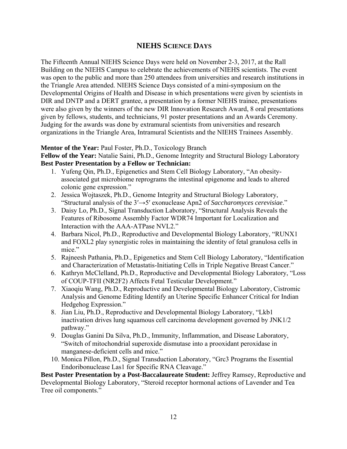# **NIEHS SCIENCE DAYS**

The Fifteenth Annual NIEHS Science Days were held on November 2-3, 2017, at the Rall Building on the NIEHS Campus to celebrate the achievements of NIEHS scientists. The event was open to the public and more than 250 attendees from universities and research institutions in the Triangle Area attended. NIEHS Science Days consisted of a mini-symposium on the Developmental Origins of Health and Disease in which presentations were given by scientists in DIR and DNTP and a DERT grantee, a presentation by a former NIEHS trainee, presentations were also given by the winners of the new DIR Innovation Research Award, 8 oral presentations given by fellows, students, and technicians, 91 poster presentations and an Awards Ceremony. Judging for the awards was done by extramural scientists from universities and research organizations in the Triangle Area, Intramural Scientists and the NIEHS Trainees Assembly.

# **Mentor of the Year:** Paul Foster, Ph.D., Toxicology Branch

**Fellow of the Year:** Natalie Saini, Ph.D., Genome Integrity and Structural Biology Laboratory **Best Poster Presentation by a Fellow or Technician:** 

- 1. Yufeng Qin, Ph.D., Epigenetics and Stem Cell Biology Laboratory, "An obesityassociated gut microbiome reprograms the intestinal epigenome and leads to altered colonic gene expression."
- 2. Jessica Wojtaszek, Ph.D., Genome Integrity and Structural Biology Laboratory, "Structural analysis of the 3ʹ→5ʹ exonuclease Apn2 of *Saccharomyces cerevisiae*."
- 3. Daisy Lo, Ph.D., Signal Transduction Laboratory, "Structural Analysis Reveals the Features of Ribosome Assembly Factor WDR74 Important for Localization and Interaction with the AAA-ATPase NVL2."
- 4. Barbara Nicol, Ph.D., Reproductive and Developmental Biology Laboratory, "RUNX1 and FOXL2 play synergistic roles in maintaining the identity of fetal granulosa cells in mice."
- 5. Rajneesh Pathania, Ph.D., Epigenetics and Stem Cell Biology Laboratory, "Identification and Characterization of Metastatis-Initiating Cells in Triple Negative Breast Cancer."
- 6. Kathryn McClelland, Ph.D., Reproductive and Developmental Biology Laboratory, "Loss of COUP-TFII (NR2F2) Affects Fetal Testicular Development."
- 7. Xiaoqiu Wang, Ph.D., Reproductive and Developmental Biology Laboratory, Cistromic Analysis and Genome Editing Identify an Uterine Specific Enhancer Critical for Indian Hedgehog Expression."
- 8. Jian Liu, Ph.D., Reproductive and Developmental Biology Laboratory, "Lkb1 inactivation drives lung squamous cell carcinoma development governed by JNK1/2 pathway."
- 9. Douglas Ganini Da Silva, Ph.D., Immunity, Inflammation, and Disease Laboratory, "Switch of mitochondrial superoxide dismutase into a prooxidant peroxidase in manganese-deficient cells and mice."
- 10. Monica Pillon, Ph.D., Signal Transduction Laboratory, "Grc3 Programs the Essential Endoribonuclease Las1 for Specific RNA Cleavage."

**Best Poster Presentation by a Post-Baccalaureate Student:** Jeffrey Ramsey, Reproductive and Developmental Biology Laboratory, "Steroid receptor hormonal actions of Lavender and Tea Tree oil components."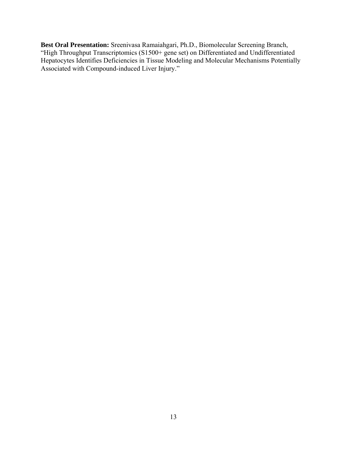**Best Oral Presentation:** Sreenivasa Ramaiahgari, Ph.D., Biomolecular Screening Branch, "High Throughput Transcriptomics (S1500+ gene set) on Differentiated and Undifferentiated Hepatocytes Identifies Deficiencies in Tissue Modeling and Molecular Mechanisms Potentially Associated with Compound-induced Liver Injury."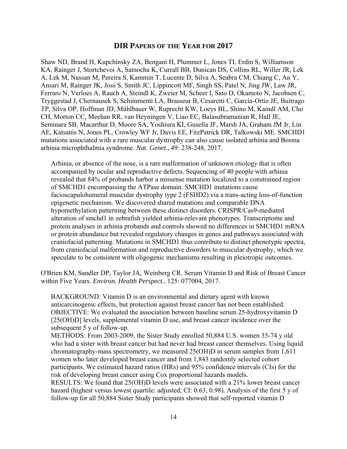# **DIR PAPERS OF THE YEAR FOR 2017**

Shaw ND, Brand H, Kupchinsky ZA, Bengani H, Plummer L, Jones TI, Erdin S, Williamson KA, Rainger J, Stortchevoi A, Samocha K, Currall BB, Dunican DS, Collins RL, Willer JR, Lek A, Lek M, Nassan M, Pereira S, Kammin T, Lucente D, Silva A, Seabra CM, Chiang C, An Y, Ansari M, Rainger JK, Joss S, Smith JC, Lippincott MF, Singh SS, Patel N, Jing JW, Law JR, Ferraro N, Verloes A, Rauch A, Steindl K, Zweier M, Scheer I, Sato D, Okamoto N, Jacobsen C, Tryggestad J, Chernausek S, Schimmenti LA, Brasseur B, Cesaretti C, García-Ortiz JE, Buitrago TP, Silva OP, Hoffman JD, Mühlbauer W, Ruprecht KW, Loeys BL, Shino M, Kaindl AM, Cho CH, Morton CC, Meehan RR, van Heyningen V, Liao EC, Balasubramanian R, Hall JE, Seminara SB, Macarthur D, Moore SA, Yoshiura KI, Gusella JF, Marsh JA, Graham JM Jr, Lin AE, Katsanis N, Jones PL, Crowley WF Jr, Davis EE, FitzPatrick DR, Talkowski ME. SMCHD1 mutations associated with a rare muscular dystrophy can also cause isolated arhinia and Bosma arhinia microphthalmia syndrome. *Nat. Genet.*, 49: 238-248, 2017.

Arhinia, or absence of the nose, is a rare malformation of unknown etiology that is often accompanied by ocular and reproductive defects. Sequencing of 40 people with arhinia revealed that 84% of probands harbor a missense mutation localized to a constrained region of SMCHD1 encompassing the ATPase domain. SMCHD1 mutations cause facioscapulohumeral muscular dystrophy type 2 (FSHD2) via a trans-acting loss-of-function epigenetic mechanism. We discovered shared mutations and comparable DNA hypomethylation patterning between these distinct disorders. CRISPR/Cas9-mediated alteration of smchd1 in zebrafish yielded arhinia-relevant phenotypes. Transcriptome and protein analyses in arhinia probands and controls showed no differences in SMCHD1 mRNA or protein abundance but revealed regulatory changes in genes and pathways associated with craniofacial patterning. Mutations in SMCHD1 thus contribute to distinct phenotypic spectra, from craniofacial malformation and reproductive disorders to muscular dystrophy, which we speculate to be consistent with oligogenic mechanisms resulting in pleiotropic outcomes.

O'Brien KM, Sandler DP, Taylor JA, Weinberg CR. Serum Vitamin D and Risk of Breast Cancer within Five Years. *Environ. Health Perspect.*, 125: 077004, 2017.

BACKGROUND: Vitamin D is an environmental and dietary agent with known anticarcinogenic effects, but protection against breast cancer has not been established. OBJECTIVE: We evaluated the association between baseline serum 25-hydroxyvitamin D [25(OH)D] levels, supplemental vitamin D use, and breast cancer incidence over the subsequent 5 y of follow-up.

METHODS: From 2003-2009, the Sister Study enrolled 50,884 U.S. women 35-74 y old who had a sister with breast cancer but had never had breast cancer themselves. Using liquid chromatography-mass spectrometry, we measured 25(OH)D in serum samples from 1,611 women who later developed breast cancer and from 1,843 randomly selected cohort participants. We estimated hazard ratios (HRs) and 95% confidence intervals (CIs) for the risk of developing breast cancer using Cox proportional hazards models.

RESULTS: We found that 25(OH)D levels were associated with a 21% lower breast cancer hazard (highest versus lowest quartile: adjusted; CI: 0.63, 0.98). Analysis of the first 5 y of follow-up for all 50,884 Sister Study participants showed that self-reported vitamin D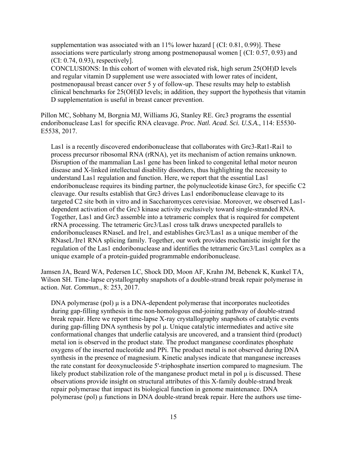supplementation was associated with an  $11\%$  lower hazard  $\lceil$  (CI: 0.81, 0.99)]. These associations were particularly strong among postmenopausal women [ (CI: 0.57, 0.93) and (CI: 0.74, 0.93), respectively].

CONCLUSIONS: In this cohort of women with elevated risk, high serum 25(OH)D levels and regular vitamin D supplement use were associated with lower rates of incident, postmenopausal breast cancer over 5 y of follow-up. These results may help to establish clinical benchmarks for 25(OH)D levels; in addition, they support the hypothesis that vitamin D supplementation is useful in breast cancer prevention.

Pillon MC, Sobhany M, Borgnia MJ, Williams JG, Stanley RE. Grc3 programs the essential endoribonuclease Las1 for specific RNA cleavage. *Proc. Natl. Acad. Sci. U.S.A.*, 114: E5530- E5538, 2017.

Las1 is a recently discovered endoribonuclease that collaborates with Grc3-Rat1-Rai1 to process precursor ribosomal RNA (rRNA), yet its mechanism of action remains unknown. Disruption of the mammalian Las1 gene has been linked to congenital lethal motor neuron disease and X-linked intellectual disability disorders, thus highlighting the necessity to understand Las1 regulation and function. Here, we report that the essential Las1 endoribonuclease requires its binding partner, the polynucleotide kinase Grc3, for specific C2 cleavage. Our results establish that Grc3 drives Las1 endoribonuclease cleavage to its targeted C2 site both in vitro and in Saccharomyces cerevisiae. Moreover, we observed Las1 dependent activation of the Grc3 kinase activity exclusively toward single-stranded RNA. Together, Las1 and Grc3 assemble into a tetrameric complex that is required for competent rRNA processing. The tetrameric Grc3/Las1 cross talk draws unexpected parallels to endoribonucleases RNaseL and Ire1, and establishes Grc3/Las1 as a unique member of the RNaseL/Ire1 RNA splicing family. Together, our work provides mechanistic insight for the regulation of the Las1 endoribonuclease and identifies the tetrameric Grc3/Las1 complex as a unique example of a protein-guided programmable endoribonuclease.

Jamsen JA, Beard WA, Pedersen LC, Shock DD, Moon AF, Krahn JM, Bebenek K, Kunkel TA, Wilson SH. Time-lapse crystallography snapshots of a double-strand break repair polymerase in action. *Nat. Commun.*, 8: 253, 2017.

DNA polymerase (pol) μ is a DNA-dependent polymerase that incorporates nucleotides during gap-filling synthesis in the non-homologous end-joining pathway of double-strand break repair. Here we report time-lapse X-ray crystallography snapshots of catalytic events during gap-filling DNA synthesis by pol μ. Unique catalytic intermediates and active site conformational changes that underlie catalysis are uncovered, and a transient third (product) metal ion is observed in the product state. The product manganese coordinates phosphate oxygens of the inserted nucleotide and PPi. The product metal is not observed during DNA synthesis in the presence of magnesium. Kinetic analyses indicate that manganese increases the rate constant for deoxynucleoside 5'-triphosphate insertion compared to magnesium. The likely product stabilization role of the manganese product metal in pol μ is discussed. These observations provide insight on structural attributes of this X-family double-strand break repair polymerase that impact its biological function in genome maintenance. DNA polymerase (pol) μ functions in DNA double-strand break repair. Here the authors use time-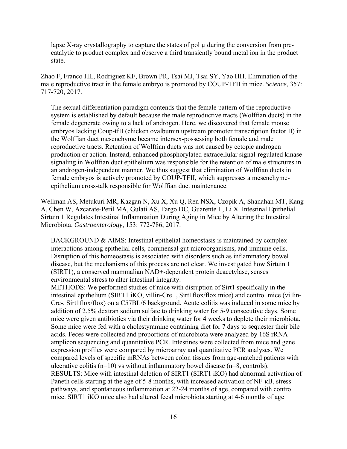lapse X-ray crystallography to capture the states of pol  $\mu$  during the conversion from precatalytic to product complex and observe a third transiently bound metal ion in the product state.

Zhao F, Franco HL, Rodriguez KF, Brown PR, Tsai MJ, Tsai SY, Yao HH. Elimination of the male reproductive tract in the female embryo is promoted by COUP-TFII in mice. *Science*, 357: 717-720, 2017.

The sexual differentiation paradigm contends that the female pattern of the reproductive system is established by default because the male reproductive tracts (Wolffian ducts) in the female degenerate owing to a lack of androgen. Here, we discovered that female mouse embryos lacking Coup-tfII (chicken ovalbumin upstream promoter transcription factor II) in the Wolffian duct mesenchyme became intersex-possessing both female and male reproductive tracts. Retention of Wolffian ducts was not caused by ectopic androgen production or action. Instead, enhanced phosphorylated extracellular signal-regulated kinase signaling in Wolffian duct epithelium was responsible for the retention of male structures in an androgen-independent manner. We thus suggest that elimination of Wolffian ducts in female embryos is actively promoted by COUP-TFII, which suppresses a mesenchymeepithelium cross-talk responsible for Wolffian duct maintenance.

Wellman AS, Metukuri MR, Kazgan N, Xu X, Xu Q, Ren NSX, Czopik A, Shanahan MT, Kang A, Chen W, Azcarate-Peril MA, Gulati AS, Fargo DC, Guarente L, Li X. Intestinal Epithelial Sirtuin 1 Regulates Intestinal Inflammation During Aging in Mice by Altering the Intestinal Microbiota. *Gastroenterology*, 153: 772-786, 2017.

BACKGROUND & AIMS: Intestinal epithelial homeostasis is maintained by complex interactions among epithelial cells, commensal gut microorganisms, and immune cells. Disruption of this homeostasis is associated with disorders such as inflammatory bowel disease, but the mechanisms of this process are not clear. We investigated how Sirtuin 1 (SIRT1), a conserved mammalian NAD+-dependent protein deacetylase, senses environmental stress to alter intestinal integrity.

METHODS: We performed studies of mice with disruption of Sirt1 specifically in the intestinal epithelium (SIRT1 iKO, villin-Cre+, Sirt1flox/flox mice) and control mice (villin-Cre-, Sirt1flox/flox) on a C57BL/6 background. Acute colitis was induced in some mice by addition of 2.5% dextran sodium sulfate to drinking water for 5-9 consecutive days. Some mice were given antibiotics via their drinking water for 4 weeks to deplete their microbiota. Some mice were fed with a cholestyramine containing diet for 7 days to sequester their bile acids. Feces were collected and proportions of microbiota were analyzed by 16S rRNA amplicon sequencing and quantitative PCR. Intestines were collected from mice and gene expression profiles were compared by microarray and quantitative PCR analyses. We compared levels of specific mRNAs between colon tissues from age-matched patients with ulcerative colitis (n=10) vs without inflammatory bowel disease (n=8, controls). RESULTS: Mice with intestinal deletion of SIRT1 (SIRT1 iKO) had abnormal activation of Paneth cells starting at the age of 5-8 months, with increased activation of NF-κB, stress pathways, and spontaneous inflammation at 22-24 months of age, compared with control mice. SIRT1 iKO mice also had altered fecal microbiota starting at 4-6 months of age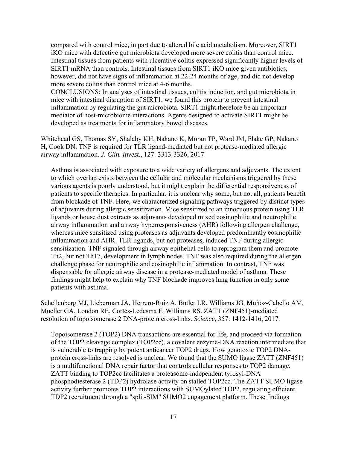compared with control mice, in part due to altered bile acid metabolism. Moreover, SIRT1 iKO mice with defective gut microbiota developed more severe colitis than control mice. Intestinal tissues from patients with ulcerative colitis expressed significantly higher levels of SIRT1 mRNA than controls. Intestinal tissues from SIRT1 iKO mice given antibiotics, however, did not have signs of inflammation at 22-24 months of age, and did not develop more severe colitis than control mice at 4-6 months.

CONCLUSIONS: In analyses of intestinal tissues, colitis induction, and gut microbiota in mice with intestinal disruption of SIRT1, we found this protein to prevent intestinal inflammation by regulating the gut microbiota. SIRT1 might therefore be an important mediator of host-microbiome interactions. Agents designed to activate SIRT1 might be developed as treatments for inflammatory bowel diseases.

Whitehead GS, Thomas SY, Shalaby KH, Nakano K, Moran TP, Ward JM, Flake GP, Nakano H, Cook DN. TNF is required for TLR ligand-mediated but not protease-mediated allergic airway inflammation. *J. Clin. Invest.*, 127: 3313-3326, 2017.

Asthma is associated with exposure to a wide variety of allergens and adjuvants. The extent to which overlap exists between the cellular and molecular mechanisms triggered by these various agents is poorly understood, but it might explain the differential responsiveness of patients to specific therapies. In particular, it is unclear why some, but not all, patients benefit from blockade of TNF. Here, we characterized signaling pathways triggered by distinct types of adjuvants during allergic sensitization. Mice sensitized to an innocuous protein using TLR ligands or house dust extracts as adjuvants developed mixed eosinophilic and neutrophilic airway inflammation and airway hyperresponsiveness (AHR) following allergen challenge, whereas mice sensitized using proteases as adjuvants developed predominantly eosinophilic inflammation and AHR. TLR ligands, but not proteases, induced TNF during allergic sensitization. TNF signaled through airway epithelial cells to reprogram them and promote Th2, but not Th17, development in lymph nodes. TNF was also required during the allergen challenge phase for neutrophilic and eosinophilic inflammation. In contrast, TNF was dispensable for allergic airway disease in a protease-mediated model of asthma. These findings might help to explain why TNF blockade improves lung function in only some patients with asthma.

Schellenberg MJ, Lieberman JA, Herrero-Ruiz A, Butler LR, Williams JG, Muñoz-Cabello AM, Mueller GA, London RE, Cortés-Ledesma F, Williams RS. ZATT (ZNF451)-mediated resolution of topoisomerase 2 DNA-protein cross-links. *Science*, 357: 1412-1416, 2017.

Topoisomerase 2 (TOP2) DNA transactions are essential for life, and proceed via formation of the TOP2 cleavage complex (TOP2cc), a covalent enzyme-DNA reaction intermediate that is vulnerable to trapping by potent anticancer TOP2 drugs. How genotoxic TOP2 DNAprotein cross-links are resolved is unclear. We found that the SUMO ligase ZATT (ZNF451) is a multifunctional DNA repair factor that controls cellular responses to TOP2 damage. ZATT binding to TOP2cc facilitates a proteasome-independent tyrosyl-DNA phosphodiesterase 2 (TDP2) hydrolase activity on stalled TOP2cc. The ZATT SUMO ligase activity further promotes TDP2 interactions with SUMOylated TOP2, regulating efficient TDP2 recruitment through a "split-SIM" SUMO2 engagement platform. These findings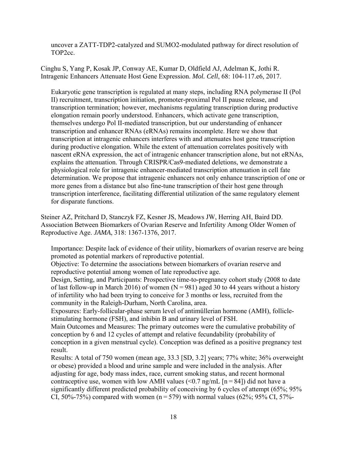uncover a ZATT-TDP2-catalyzed and SUMO2-modulated pathway for direct resolution of TOP2cc.

Cinghu S, Yang P, Kosak JP, Conway AE, Kumar D, Oldfield AJ, Adelman K, Jothi R. Intragenic Enhancers Attenuate Host Gene Expression. *Mol. Cell*, 68: 104-117.e6, 2017.

Eukaryotic gene transcription is regulated at many steps, including RNA polymerase II (Pol II) recruitment, transcription initiation, promoter-proximal Pol II pause release, and transcription termination; however, mechanisms regulating transcription during productive elongation remain poorly understood. Enhancers, which activate gene transcription, themselves undergo Pol II-mediated transcription, but our understanding of enhancer transcription and enhancer RNAs (eRNAs) remains incomplete. Here we show that transcription at intragenic enhancers interferes with and attenuates host gene transcription during productive elongation. While the extent of attenuation correlates positively with nascent eRNA expression, the act of intragenic enhancer transcription alone, but not eRNAs, explains the attenuation. Through CRISPR/Cas9-mediated deletions, we demonstrate a physiological role for intragenic enhancer-mediated transcription attenuation in cell fate determination. We propose that intragenic enhancers not only enhance transcription of one or more genes from a distance but also fine-tune transcription of their host gene through transcription interference, facilitating differential utilization of the same regulatory element for disparate functions.

Steiner AZ, Pritchard D, Stanczyk FZ, Kesner JS, Meadows JW, Herring AH, Baird DD. Association Between Biomarkers of Ovarian Reserve and Infertility Among Older Women of Reproductive Age. *JAMA*, 318: 1367-1376, 2017.

Importance: Despite lack of evidence of their utility, biomarkers of ovarian reserve are being promoted as potential markers of reproductive potential.

Objective: To determine the associations between biomarkers of ovarian reserve and reproductive potential among women of late reproductive age.

of last follow-up in March 2016) of women ( $N = 981$ ) aged 30 to 44 years without a history Design, Setting, and Participants: Prospective time-to-pregnancy cohort study (2008 to date of infertility who had been trying to conceive for 3 months or less, recruited from the community in the Raleigh-Durham, North Carolina, area.

Exposures: Early-follicular-phase serum level of antimüllerian hormone (AMH), folliclestimulating hormone (FSH), and inhibin B and urinary level of FSH.

Main Outcomes and Measures: The primary outcomes were the cumulative probability of conception by 6 and 12 cycles of attempt and relative fecundability (probability of conception in a given menstrual cycle). Conception was defined as a positive pregnancy test result.

contraceptive use, women with low AMH values  $(\leq 0.7 \text{ ng/mL}$  [n = 84]) did not have a CI, 50%-75%) compared with women (n = 579) with normal values (62%; 95% CI, 57%-Results: A total of 750 women (mean age, 33.3 [SD, 3.2] years; 77% white; 36% overweight or obese) provided a blood and urine sample and were included in the analysis. After adjusting for age, body mass index, race, current smoking status, and recent hormonal significantly different predicted probability of conceiving by 6 cycles of attempt (65%; 95%)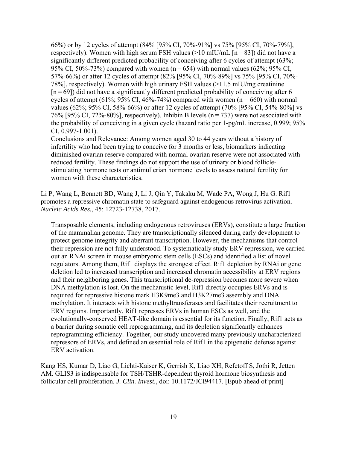respectively). Women with high serum FSH values ( $>10$  mIU/mL [n = 83]) did not have a 95% CI, 50%-73%) compared with women (n = 654) with normal values (62%; 95% CI,  $[n = 69]$ ) did not have a significantly different predicted probability of conceiving after 6 76% [95% CI, 72%-80%], respectively). Inhibin B levels ( $n = 737$ ) were not associated with 66%) or by 12 cycles of attempt (84% [95% CI, 70%-91%] vs 75% [95% CI, 70%-79%], significantly different predicted probability of conceiving after 6 cycles of attempt (63%; 57%-66%) or after 12 cycles of attempt (82% [95% CI, 70%-89%] vs 75% [95% CI, 70%- 78%], respectively). Women with high urinary FSH values (>11.5 mIU/mg creatinine cycles of attempt (61%; 95% CI, 46%-74%) compared with women (n = 660) with normal values (62%; 95% CI, 58%-66%) or after 12 cycles of attempt (70% [95% CI, 54%-80%] vs the probability of conceiving in a given cycle (hazard ratio per 1-pg/mL increase, 0.999; 95% CI, 0.997-1.001).

Conclusions and Relevance: Among women aged 30 to 44 years without a history of infertility who had been trying to conceive for 3 months or less, biomarkers indicating diminished ovarian reserve compared with normal ovarian reserve were not associated with reduced fertility. These findings do not support the use of urinary or blood folliclestimulating hormone tests or antimüllerian hormone levels to assess natural fertility for women with these characteristics.

Li P, Wang L, Bennett BD, Wang J, Li J, Qin Y, Takaku M, Wade PA, Wong J, Hu G. Rif1 promotes a repressive chromatin state to safeguard against endogenous retrovirus activation. *Nucleic Acids Res.*, 45: 12723-12738, 2017.

Transposable elements, including endogenous retroviruses (ERVs), constitute a large fraction of the mammalian genome. They are transcriptionally silenced during early development to protect genome integrity and aberrant transcription. However, the mechanisms that control their repression are not fully understood. To systematically study ERV repression, we carried out an RNAi screen in mouse embryonic stem cells (ESCs) and identified a list of novel regulators. Among them, Rif1 displays the strongest effect. Rif1 depletion by RNAi or gene deletion led to increased transcription and increased chromatin accessibility at ERV regions and their neighboring genes. This transcriptional de-repression becomes more severe when DNA methylation is lost. On the mechanistic level, Rif1 directly occupies ERVs and is required for repressive histone mark H3K9me3 and H3K27me3 assembly and DNA methylation. It interacts with histone methyltransferases and facilitates their recruitment to ERV regions. Importantly, Rif1 represses ERVs in human ESCs as well, and the evolutionally-conserved HEAT-like domain is essential for its function. Finally, Rif1 acts as a barrier during somatic cell reprogramming, and its depletion significantly enhances reprogramming efficiency. Together, our study uncovered many previously uncharacterized repressors of ERVs, and defined an essential role of Rif1 in the epigenetic defense against ERV activation.

Kang HS, Kumar D, Liao G, Lichti-Kaiser K, Gerrish K, Liao XH, Refetoff S, Jothi R, Jetten AM. GLIS3 is indispensable for TSH/TSHR-dependent thyroid hormone biosynthesis and follicular cell proliferation. *J. Clin. Invest.*, doi: 10.1172/JCI94417. [Epub ahead of print]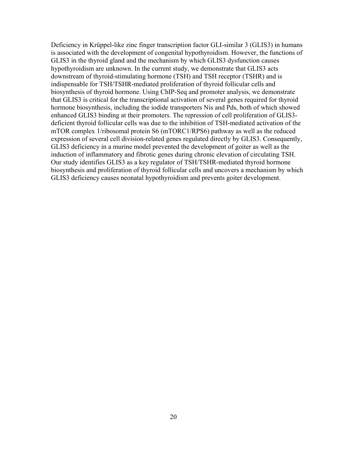Deficiency in Krüppel-like zinc finger transcription factor GLI-similar 3 (GLIS3) in humans is associated with the development of congenital hypothyroidism. However, the functions of GLIS3 in the thyroid gland and the mechanism by which GLIS3 dysfunction causes hypothyroidism are unknown. In the current study, we demonstrate that GLIS3 acts downstream of thyroid-stimulating hormone (TSH) and TSH receptor (TSHR) and is indispensable for TSH/TSHR-mediated proliferation of thyroid follicular cells and biosynthesis of thyroid hormone. Using ChIP-Seq and promoter analysis, we demonstrate that GLIS3 is critical for the transcriptional activation of several genes required for thyroid hormone biosynthesis, including the iodide transporters Nis and Pds, both of which showed enhanced GLIS3 binding at their promoters. The repression of cell proliferation of GLIS3 deficient thyroid follicular cells was due to the inhibition of TSH-mediated activation of the mTOR complex 1/ribosomal protein S6 (mTORC1/RPS6) pathway as well as the reduced expression of several cell division-related genes regulated directly by GLIS3. Consequently, GLIS3 deficiency in a murine model prevented the development of goiter as well as the induction of inflammatory and fibrotic genes during chronic elevation of circulating TSH. Our study identifies GLIS3 as a key regulator of TSH/TSHR-mediated thyroid hormone biosynthesis and proliferation of thyroid follicular cells and uncovers a mechanism by which GLIS3 deficiency causes neonatal hypothyroidism and prevents goiter development.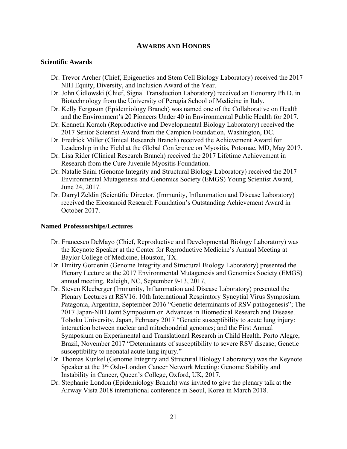# **AWARDS AND HONORS**

# **Scientific Awards**

- Dr. Trevor Archer (Chief, Epigenetics and Stem Cell Biology Laboratory) received the 2017 NIH Equity, Diversity, and Inclusion Award of the Year.
- Dr. John Cidlowski (Chief, Signal Transduction Laboratory) received an Honorary Ph.D. in Biotechnology from the University of Perugia School of Medicine in Italy.
- Dr. Kelly Ferguson (Epidemiology Branch) was named one of the Collaborative on Health and the Environment's 20 Pioneers Under 40 in Environmental Public Health for 2017.
- Dr. Kenneth Korach (Reproductive and Developmental Biology Laboratory) received the 2017 Senior Scientist Award from the Campion Foundation, Washington, DC.
- Dr. Fredrick Miller (Clinical Research Branch) received the Achievement Award for Leadership in the Field at the Global Conference on Myositis, Potomac, MD, May 2017.
- Dr. Lisa Rider (Clinical Research Branch) received the 2017 Lifetime Achievement in Research from the Cure Juvenile Myositis Foundation.
- Dr. Natalie Saini (Genome Integrity and Structural Biology Laboratory) received the 2017 Environmental Mutagenesis and Genomics Society (EMGS) Young Scientist Award, June 24, 2017.
- Dr. Darryl Zeldin (Scientific Director, (Immunity, Inflammation and Disease Laboratory) received the Eicosanoid Research Foundation's Outstanding Achievement Award in October 2017.

#### **Named Professorships/Lectures**

- Dr. Francesco DeMayo (Chief, Reproductive and Developmental Biology Laboratory) was the Keynote Speaker at the Center for Reproductive Medicine's Annual Meeting at Baylor College of Medicine, Houston, TX.
- Dr. Dmitry Gordenin (Genome Integrity and Structural Biology Laboratory) presented the Plenary Lecture at the 2017 Environmental Mutagenesis and Genomics Society (EMGS) annual meeting, Raleigh, NC, September 9-13, 2017,
- Dr. Steven Kleeberger (Immunity, Inflammation and Disease Laboratory) presented the Plenary Lectures at RSV16. 10th International Respiratory Syncytial Virus Symposium. Patagonia, Argentina, September 2016 "Genetic determinants of RSV pathogenesis"; The 2017 Japan-NIH Joint Symposium on Advances in Biomedical Research and Disease. Tohoku University, Japan, February 2017 "Genetic susceptibility to acute lung injury: interaction between nuclear and mitochondrial genomes; and the First Annual Symposium on Experimental and Translational Research in Child Health. Porto Alegre, Brazil, November 2017 "Determinants of susceptibility to severe RSV disease; Genetic susceptibility to neonatal acute lung injury."
- Dr. Thomas Kunkel (Genome Integrity and Structural Biology Laboratory) was the Keynote Speaker at the 3<sup>rd</sup> Oslo-London Cancer Network Meeting: Genome Stability and Instability in Cancer, Queen's College, Oxford, UK, 2017.
- Dr. Stephanie London (Epidemiology Branch) was invited to give the plenary talk at the Airway Vista 2018 international conference in Seoul, Korea in March 2018.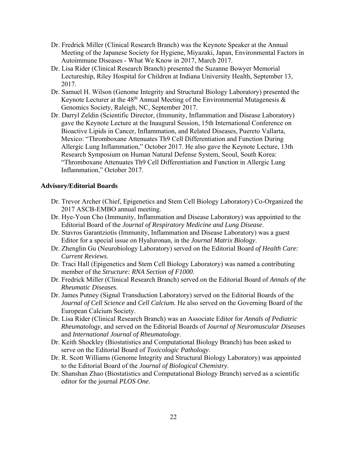- Dr. Fredrick Miller (Clinical Research Branch) was the Keynote Speaker at the Annual Meeting of the Japanese Society for Hygiene, Miyazaki, Japan, Environmental Factors in Autoimmune Diseases - What We Know in 2017, March 2017.
- Dr. Lisa Rider (Clinical Research Branch) presented the Suzanne Bowyer Memorial Lectureship, Riley Hospital for Children at Indiana University Health, September 13, 2017.
- Dr. Samuel H. Wilson (Genome Integrity and Structural Biology Laboratory) presented the Keynote Lecturer at the  $48<sup>th</sup>$  Annual Meeting of the Environmental Mutagenesis  $\&$ Genomics Society, Raleigh, NC, September 2017.
- Dr. Darryl Zeldin (Scientific Director, (Immunity, Inflammation and Disease Laboratory) gave the Keynote Lecture at the Inaugural Session, 15th International Conference on Bioactive Lipids in Cancer, Inflammation, and Related Diseases, Puereto Vallarta, Mexico: "Thromboxane Attenuates Th9 Cell Differentiation and Function During Allergic Lung Inflammation," October 2017. He also gave the Keynote Lecture, 13th Research Symposium on Human Natural Defense System, Seoul, South Korea: "Thromboxane Attenuates Th9 Cell Differentiation and Function in Allergic Lung Inflammation," October 2017.

# **Advisory/Editorial Boards**

- Dr. Trevor Archer (Chief, Epigenetics and Stem Cell Biology Laboratory) Co-Organized the 2017 ASCB-EMBO annual meeting.
- Dr. Hye-Youn Cho (Immunity, Inflammation and Disease Laboratory) was appointed to the Editorial Board of the *Journal of Respiratory Medicine and Lung Disease*.
- Dr. Stavros Garantziotis (Immunity, Inflammation and Disease Laboratory) was a guest Editor for a special issue on Hyaluronan, in the *Journal Matrix Biology*.
- Dr. Zhenglin Gu (Neurobiology Laboratory) served on the Editorial Board *of Health Care: Current Reviews*.
- Dr. Traci Hall (Epigenetics and Stem Cell Biology Laboratory) was named a contributing member of the *Structure: RNA Section of F1000*.
- Dr. Fredrick Miller (Clinical Research Branch) served on the Editorial Board of *Annals of the Rheumatic Diseases*.
- Dr. James Putney (Signal Transduction Laboratory) served on the Editorial Boards of the *Journal of Cell Science* and *Cell Calcium.* He also served on the Governing Board of the European Calcium Society.
- Dr. Lisa Rider (Clinical Research Branch) was an Associate Editor for *Annals of Pediatric Rheumatology*, and served on the Editorial Boards of *Journal of Neuromuscular Diseases*  and *International Journal of Rheumatology*.
- Dr. Keith Shockley (Biostatistics and Computational Biology Branch) has been asked to serve on the Editorial Board of *Toxicologic Pathology*.
- Dr. R. Scott Williams (Genome Integrity and Structural Biology Laboratory) was appointed to the Editorial Board of the *Journal of Biological Chemistry*.
- Dr. Shanshan Zhao (Biostatistics and Computational Biology Branch) served as a scientific editor for the journal *PLOS One*.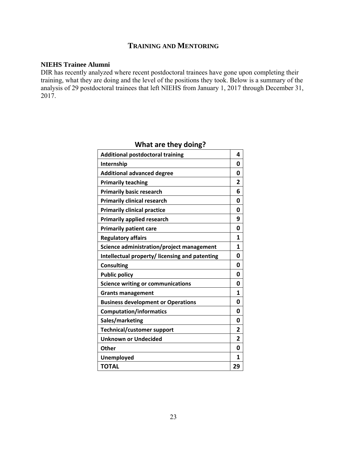# **TRAINING AND MENTORING**

#### **NIEHS Trainee Alumni**

DIR has recently analyzed where recent postdoctoral trainees have gone upon completing their training, what they are doing and the level of the positions they took. Below is a summary of the analysis of 29 postdoctoral trainees that left NIEHS from January 1, 2017 through December 31, 2017.

| $\cdots$ and they womg.                        |    |
|------------------------------------------------|----|
| <b>Additional postdoctoral training</b>        | 4  |
| Internship                                     | 0  |
| <b>Additional advanced degree</b>              | 0  |
| <b>Primarily teaching</b>                      | 2  |
| <b>Primarily basic research</b>                | 6  |
| <b>Primarily clinical research</b>             | 0  |
| <b>Primarily clinical practice</b>             | 0  |
| <b>Primarily applied research</b>              | 9  |
| <b>Primarily patient care</b>                  | 0  |
| <b>Regulatory affairs</b>                      | 1  |
| Science administration/project management      | 1  |
| Intellectual property/ licensing and patenting | 0  |
| <b>Consulting</b>                              | 0  |
| <b>Public policy</b>                           | 0  |
| <b>Science writing or communications</b>       | 0  |
| <b>Grants management</b>                       | 1  |
| <b>Business development or Operations</b>      | 0  |
| <b>Computation/informatics</b>                 | 0  |
| Sales/marketing                                | 0  |
| Technical/customer support                     | 2  |
| <b>Unknown or Undecided</b>                    | 2  |
| Other                                          | 0  |
| Unemployed                                     | 1  |
| <b>TOTAL</b>                                   | 29 |

# **What are they doing?**